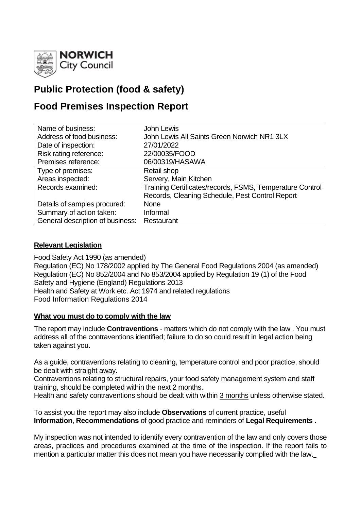

# **Public Protection (food & safety)**

# **Food Premises Inspection Report**

| Name of business:                | <b>John Lewis</b>                                        |
|----------------------------------|----------------------------------------------------------|
| Address of food business:        | John Lewis All Saints Green Norwich NR1 3LX              |
| Date of inspection:              | 27/01/2022                                               |
| Risk rating reference:           | 22/00035/FOOD                                            |
| Premises reference:              | 06/00319/HASAWA                                          |
| Type of premises:                | Retail shop                                              |
| Areas inspected:                 | Servery, Main Kitchen                                    |
| Records examined:                | Training Certificates/records, FSMS, Temperature Control |
|                                  | Records, Cleaning Schedule, Pest Control Report          |
| Details of samples procured:     | <b>None</b>                                              |
| Summary of action taken:         | Informal                                                 |
| General description of business: | Restaurant                                               |

## **Relevant Legislation**

Food Safety Act 1990 (as amended) Regulation (EC) No 178/2002 applied by The General Food Regulations 2004 (as amended) Regulation (EC) No 852/2004 and No 853/2004 applied by Regulation 19 (1) of the Food Safety and Hygiene (England) Regulations 2013 Health and Safety at Work etc. Act 1974 and related regulations Food Information Regulations 2014

## **What you must do to comply with the law**

The report may include **Contraventions** - matters which do not comply with the law . You must address all of the contraventions identified; failure to do so could result in legal action being taken against you.

As a guide, contraventions relating to cleaning, temperature control and poor practice, should be dealt with straight away.

Contraventions relating to structural repairs, your food safety management system and staff training, should be completed within the next 2 months.

Health and safety contraventions should be dealt with within 3 months unless otherwise stated.

To assist you the report may also include **Observations** of current practice, useful **Information**, **Recommendations** of good practice and reminders of **Legal Requirements .**

My inspection was not intended to identify every contravention of the law and only covers those areas, practices and procedures examined at the time of the inspection. If the report fails to mention a particular matter this does not mean you have necessarily complied with the law.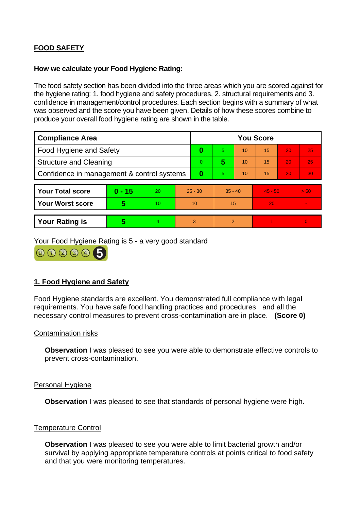# **FOOD SAFETY**

#### **How we calculate your Food Hygiene Rating:**

The food safety section has been divided into the three areas which you are scored against for the hygiene rating: 1. food hygiene and safety procedures, 2. structural requirements and 3. confidence in management/control procedures. Each section begins with a summary of what was observed and the score you have been given. Details of how these scores combine to produce your overall food hygiene rating are shown in the table.

| <b>Compliance Area</b>                     |          |    |           | <b>You Score</b> |                |    |           |    |                |
|--------------------------------------------|----------|----|-----------|------------------|----------------|----|-----------|----|----------------|
| Food Hygiene and Safety                    |          |    |           | 0                | 5.             | 10 | 15        | 20 | 25             |
| <b>Structure and Cleaning</b>              |          |    | $\Omega$  | 5                | 10             | 15 | 20        | 25 |                |
| Confidence in management & control systems |          |    | $\bf{0}$  | 5.               | 10             | 15 | 20        | 30 |                |
|                                            |          |    |           |                  |                |    |           |    |                |
| <b>Your Total score</b>                    | $0 - 15$ | 20 | $25 - 30$ |                  | $35 - 40$      |    | $45 - 50$ |    | > 50           |
| <b>Your Worst score</b>                    | 5        | 10 | 10        |                  | 15             |    | 20        |    | $\sim$         |
|                                            |          |    |           |                  |                |    |           |    |                |
| <b>Your Rating is</b>                      | 5        | 4  | 3         |                  | $\overline{2}$ |    |           |    | $\overline{0}$ |

Your Food Hygiene Rating is 5 - a very good standard

000005

## **1. Food Hygiene and Safety**

Food Hygiene standards are excellent. You demonstrated full compliance with legal requirements. You have safe food handling practices and procedures and all the necessary control measures to prevent cross-contamination are in place. **(Score 0)**

#### Contamination risks

**Observation** I was pleased to see you were able to demonstrate effective controls to prevent cross-contamination.

#### Personal Hygiene

**Observation** I was pleased to see that standards of personal hygiene were high.

## Temperature Control

**Observation** I was pleased to see you were able to limit bacterial growth and/or survival by applying appropriate temperature controls at points critical to food safety and that you were monitoring temperatures.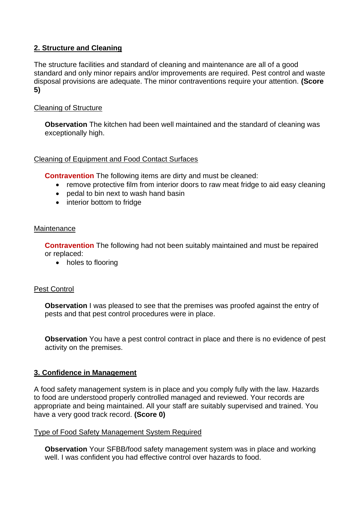# **2. Structure and Cleaning**

The structure facilities and standard of cleaning and maintenance are all of a good standard and only minor repairs and/or improvements are required. Pest control and waste disposal provisions are adequate. The minor contraventions require your attention. **(Score 5)**

## Cleaning of Structure

**Observation** The kitchen had been well maintained and the standard of cleaning was exceptionally high.

## Cleaning of Equipment and Food Contact Surfaces

**Contravention** The following items are dirty and must be cleaned:

- remove protective film from interior doors to raw meat fridge to aid easy cleaning
- pedal to bin next to wash hand basin
- interior bottom to fridge

## **Maintenance**

**Contravention** The following had not been suitably maintained and must be repaired or replaced:

• holes to flooring

## Pest Control

**Observation** I was pleased to see that the premises was proofed against the entry of pests and that pest control procedures were in place.

**Observation** You have a pest control contract in place and there is no evidence of pest activity on the premises.

## **3. Confidence in Management**

A food safety management system is in place and you comply fully with the law. Hazards to food are understood properly controlled managed and reviewed. Your records are appropriate and being maintained. All your staff are suitably supervised and trained. You have a very good track record. **(Score 0)**

## Type of Food Safety Management System Required

**Observation** Your SFBB/food safety management system was in place and working well. I was confident you had effective control over hazards to food.